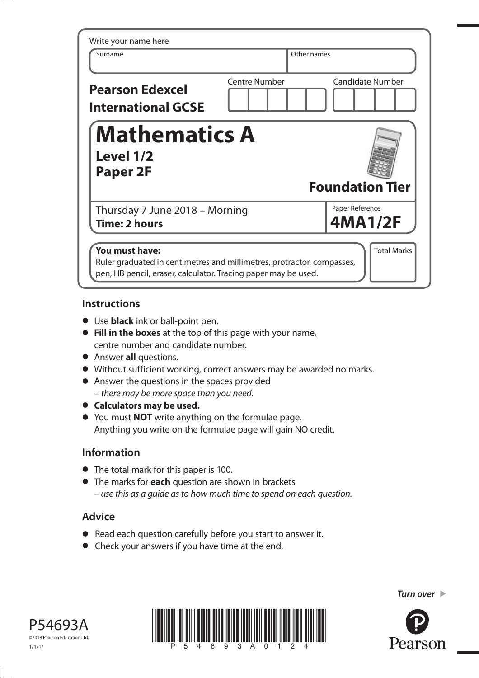| Write your name here<br>Surname                                                                                                                            |                      | Other names |                            |
|------------------------------------------------------------------------------------------------------------------------------------------------------------|----------------------|-------------|----------------------------|
| <b>Pearson Edexcel</b><br><b>International GCSE</b>                                                                                                        | <b>Centre Number</b> |             | <b>Candidate Number</b>    |
| <b>Mathematics A</b><br>Level 1/2<br>Paper 2F                                                                                                              |                      |             | <b>Foundation Tier</b>     |
| Thursday 7 June 2018 - Morning<br>Time: 2 hours                                                                                                            |                      |             | Paper Reference<br>4MA1/2F |
| You must have:<br>Ruler graduated in centimetres and millimetres, protractor, compasses,<br>pen, HB pencil, eraser, calculator. Tracing paper may be used. |                      |             | <b>Total Marks</b>         |

## **Instructions**

- **•** Use **black** ink or ball-point pen.
- **• Fill in the boxes** at the top of this page with your name, centre number and candidate number.
- **•** Answer **all** questions.
- **•** Answer **all** questions.<br>• Without sufficient working, correct answers may be awarded no marks.
- Without sufficient working, correct answers m<br>• Answer the questions in the spaces provided – there may be more space than you need.
- **• Calculators may be used.**
- **•** You must **NOT** write anything on the formulae page. Anything you write on the formulae page will gain NO credit.

## **Information**

- **•** The total mark for this paper is 100.
- **•** The marks for **each** question are shown in brackets – use this as a guide as to how much time to spend on each question.

## **Advice**

- **•** Read each question carefully before you start to answer it.
- **•** Check your answers if you have time at the end.





*Turn over* 

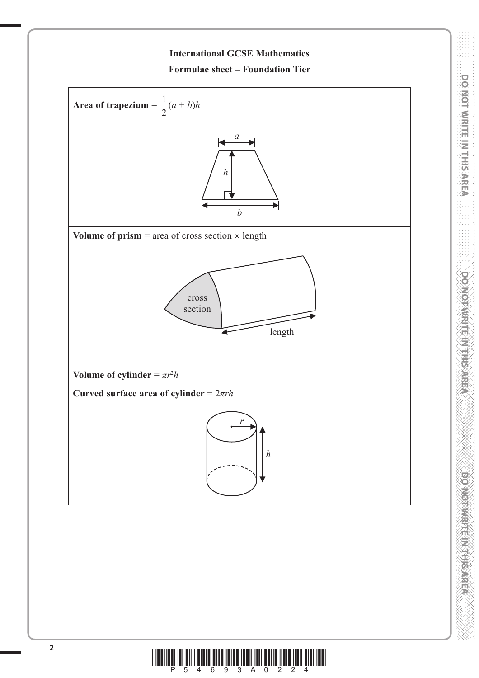

**DO NOT WRITE IN THIS AREA DO NOT WRITE IN THIS AREA DO NOT WRITE IN THIS AREA DO NOT WRITE IN THIS AREA DO NOT WRITE IN THIS AREA DO NOT WRITE IN THIS AREA DO NOT WRITE IN THIS AREA DO NOT WRITE IN THIS AREA DO NOT WRITE** 

**DOMOVINISTINISTINISTIC** 

**DOOM ORIGINAL REGISTER** 

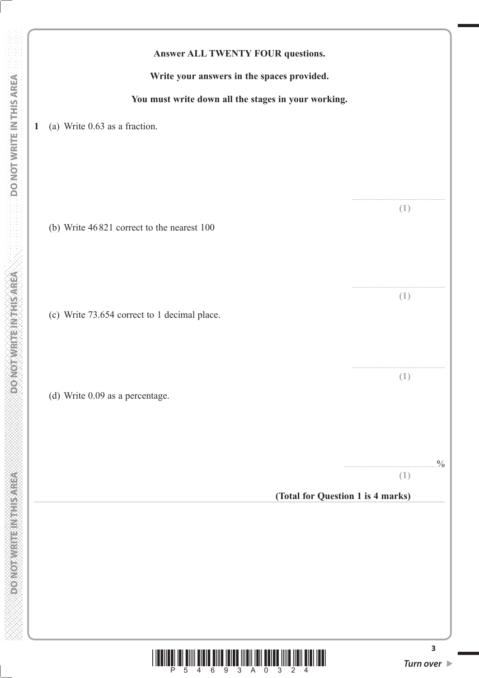|              | Answer ALL TWENTY FOUR questions.                                                                           |                      |
|--------------|-------------------------------------------------------------------------------------------------------------|----------------------|
|              | Write your answers in the spaces provided.                                                                  |                      |
|              | You must write down all the stages in your working.                                                         |                      |
| $\mathbf{1}$ | (a) Write 0.63 as a fraction.                                                                               |                      |
|              |                                                                                                             |                      |
|              | (b) Write 46821 correct to the nearest 100                                                                  | (1)                  |
|              |                                                                                                             | (1)                  |
|              | (c) Write 73.654 correct to 1 decimal place.                                                                |                      |
|              | (d) Write 0.09 as a percentage.                                                                             | Œ                    |
|              | (Total for Question 1 is 4 marks)                                                                           | $\frac{0}{0}$<br>(1) |
|              |                                                                                                             |                      |
|              | <u>TITLE TILL TILL IN HITLE TILL IN TILL TILL</u><br>- 9<br>3 <sup>1</sup><br>$\overline{0}$<br>3<br>6<br>A | 3<br>Turn over ▶     |

 **DO NOT WRITE IN THIS AREA DO NOT WRITE IN THIS AREA DO NOT WRITE IN THIS AREA DO NOT WRITE IN THIS AREA DO NOT** 

**DONOTWRITE INTHIS AREA** 

**DONOTWRITE IN THIS AREA**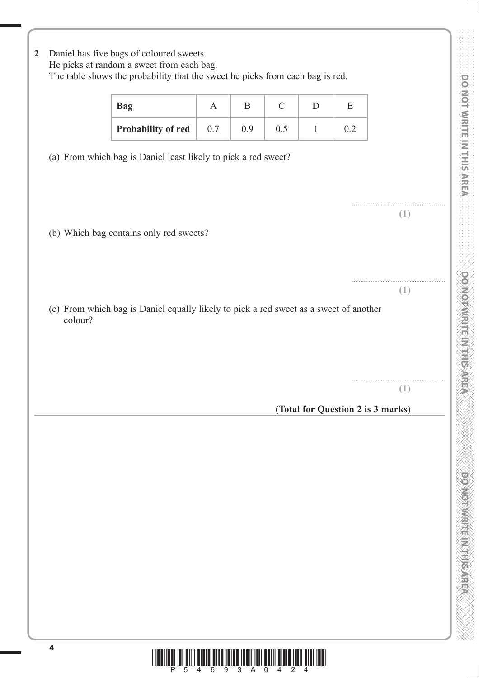**DO NOT WRITE IN THIS AREA DO NOT WRITE IN THIS AREA DO NOT WRITE IN THIS AREA DO NOT WRITE IN THIS AREA DO NOT WRITE IN THIS AREA DO NOT WRITE IN THIS AREA DO NOT WRITE IN THIS AREA DO NOT WRITE IN THIS AREA DO NOT WRITE** DO NOT WRITE IN THIS AREA **DOMOTWRITEINTHIS AREA** 

powerware markets area

| Probability of red<br>0.5<br>0.7<br>0.9<br>$\mathbf{1}$<br>0.2<br>(a) From which bag is Daniel least likely to pick a red sweet?<br>(b) Which bag contains only red sweets?<br>(c) From which bag is Daniel equally likely to pick a red sweet as a sweet of another<br>colour? | (1)<br>(1)                        | <b>Bag</b> | $\mathbf{A}$ | B | $\mathcal{C}$ | D | E |     |
|---------------------------------------------------------------------------------------------------------------------------------------------------------------------------------------------------------------------------------------------------------------------------------|-----------------------------------|------------|--------------|---|---------------|---|---|-----|
|                                                                                                                                                                                                                                                                                 |                                   |            |              |   |               |   |   |     |
|                                                                                                                                                                                                                                                                                 |                                   |            |              |   |               |   |   |     |
|                                                                                                                                                                                                                                                                                 |                                   |            |              |   |               |   |   |     |
|                                                                                                                                                                                                                                                                                 |                                   |            |              |   |               |   |   |     |
|                                                                                                                                                                                                                                                                                 |                                   |            |              |   |               |   |   |     |
|                                                                                                                                                                                                                                                                                 |                                   |            |              |   |               |   |   |     |
|                                                                                                                                                                                                                                                                                 |                                   |            |              |   |               |   |   |     |
|                                                                                                                                                                                                                                                                                 |                                   |            |              |   |               |   |   |     |
|                                                                                                                                                                                                                                                                                 |                                   |            |              |   |               |   |   |     |
|                                                                                                                                                                                                                                                                                 |                                   |            |              |   |               |   |   |     |
|                                                                                                                                                                                                                                                                                 |                                   |            |              |   |               |   |   |     |
|                                                                                                                                                                                                                                                                                 |                                   |            |              |   |               |   |   |     |
|                                                                                                                                                                                                                                                                                 |                                   |            |              |   |               |   |   | (1) |
|                                                                                                                                                                                                                                                                                 | (Total for Question 2 is 3 marks) |            |              |   |               |   |   |     |

**2** Daniel has five bags of coloured sweets.

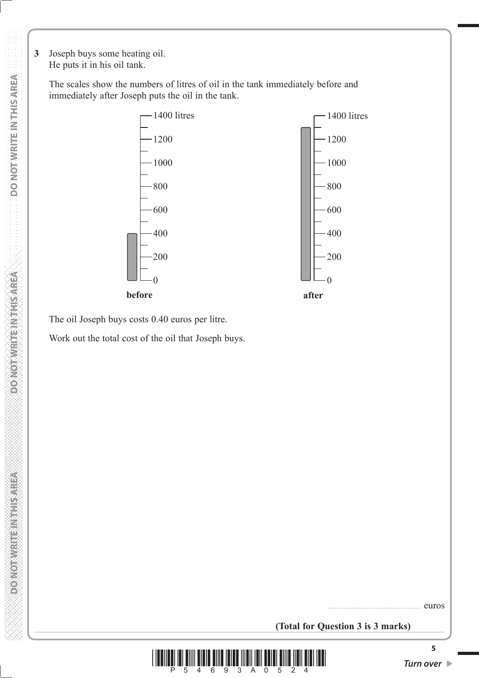**3** Joseph buys some heating oil. He puts it in his oil tank.

> The scales show the numbers of litres of oil in the tank immediately before and immediately after Joseph puts the oil in the tank.



The oil Joseph buys costs 0.40 euros per litre.

Work out the total cost of the oil that Joseph buys.

....................................................... euros

**(Total for Question 3 is 3 marks)**



**5**

**DOMORATE REGISTER OF**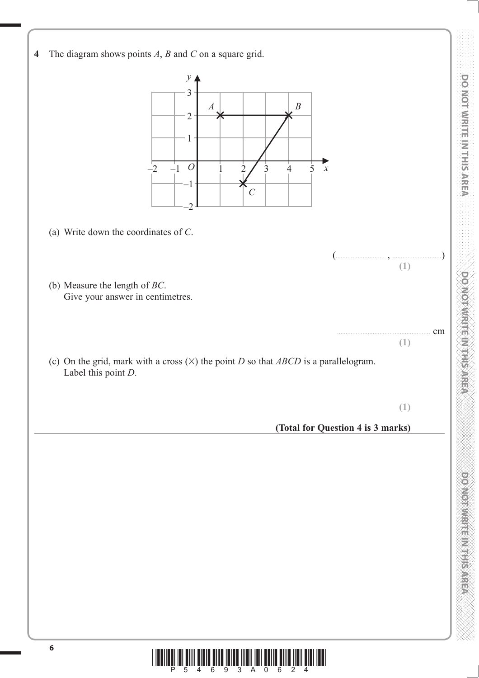

\*P54693A0624\*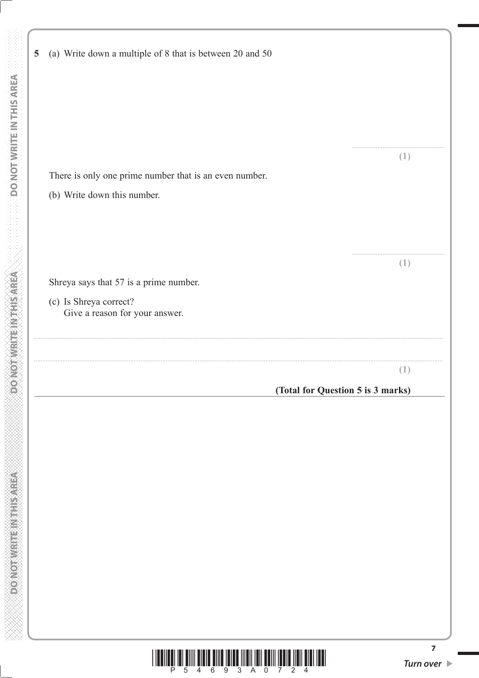| $\overline{5}$ | (a) Write down a multiple of 8 that is between 20 and 50 |                  |
|----------------|----------------------------------------------------------|------------------|
|                |                                                          |                  |
|                |                                                          |                  |
|                |                                                          | $\left(1\right)$ |
|                | There is only one prime number that is an even number.   |                  |
|                | (b) Write down this number.                              |                  |
|                |                                                          |                  |
|                |                                                          |                  |
|                |                                                          | (1)              |
|                | Shreya says that 57 is a prime number.                   |                  |
|                | (c) Is Shreya correct?<br>Give a reason for your answer. |                  |
|                |                                                          |                  |
|                |                                                          | (1)              |
|                | (Total for Question 5 is 3 marks)                        |                  |
|                |                                                          |                  |
|                |                                                          |                  |
|                |                                                          |                  |
|                |                                                          |                  |
|                |                                                          |                  |
|                |                                                          |                  |
|                |                                                          |                  |
|                |                                                          |                  |
|                |                                                          |                  |
|                |                                                          |                  |
|                |                                                          |                  |

 **DO NOT WRITE IN THIS AREA DO NOT WRITE IN THIS AREA DO NOT WRITE IN THIS AREA DO NOT WRITE IN THIS AREA DO NOT** 

**DONOTWEITEIN THIS AREA** 

**DONOTWRITEINTHISMREA** 

eri<br>M

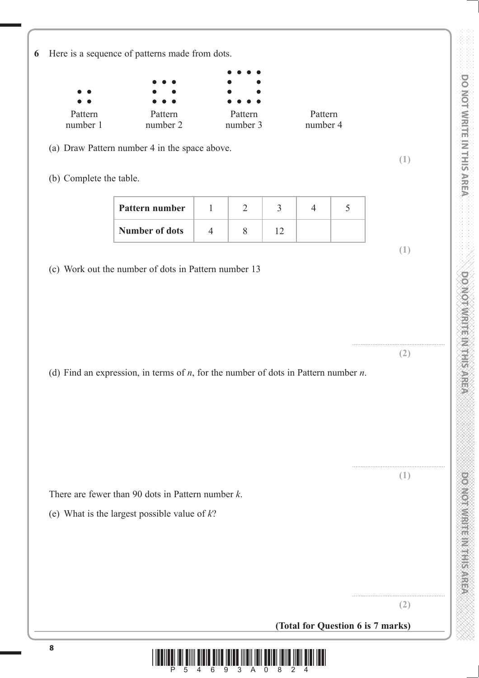

 $\frac{1}{2}$  and  $\frac{1}{2}$  and  $\frac{1}{2}$  and  $\frac{2}{3}$  and  $\frac{3}{2}$  and  $\frac{2}{3}$  and  $\frac{2}{3}$  and  $\frac{2}{3}$ 

**DO NOT WRITE IN THIS AREA DO NOT WRITE IN THIS AREA DO NOT WRITE IN THIS AREA DO NOT WRITE IN THIS AREA DO NOT WRITE IN THIS AREA DO NOT WRITE IN THIS AREA DO NOT WRITE IN THIS AREA DO NOT WRITE IN THIS AREA DO NOT WRITE**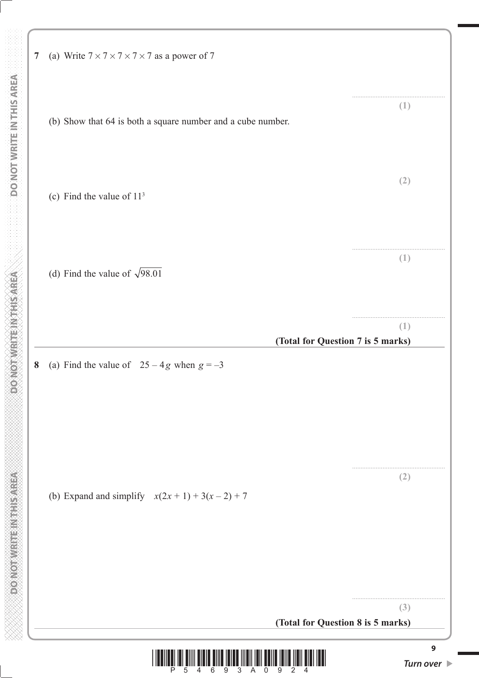**9 7** (a) Write  $7 \times 7 \times 7 \times 7 \times 7$  as a power of 7 ....................................................... **(1)** (b) Show that 64 is both a square number and a cube number. **(2)** (c) Find the value of 113 ....................................................... **(1)** (d) Find the value of  $\sqrt{98.01}$ . ....................................................... **(1) (Total for Question 7 is 5 marks) 8** (a) Find the value of  $25 - 4g$  when  $g = -3$ ....................................................... **(2)** (b) Expand and simplify  $x(2x + 1) + 3(x - 2) + 7$ ....................................................... **(3) (Total for Question 8 is 5 marks)**

 **DO NOT WRITE IN THIS AREA DO NOT WRITE IN THIS AREA DO NOT WRITE IN THIS AREA DO NOT WRITE IN THIS AREA DO NOT** 

**PONOTHER ETHERNOLOGIC** 

**DONOT WRITE NATHS AREA** 

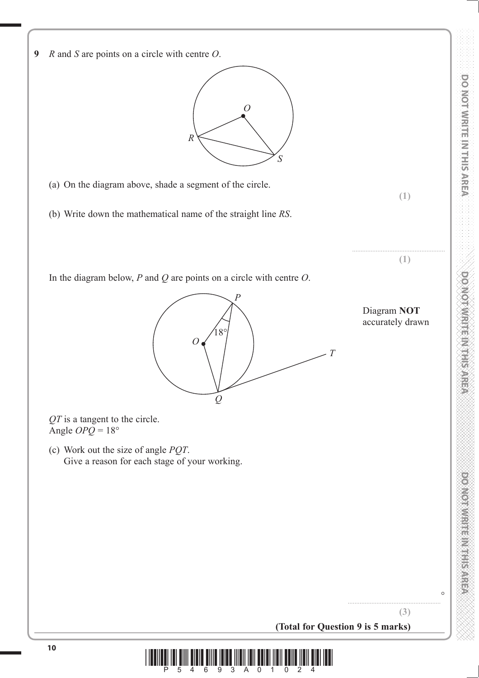

**9** *R* and *S* are points on a circle with centre *O*. *O*

(a) On the diagram above, shade a segment of the circle.

(b) Write down the mathematical name of the straight line *RS*.

*R*

In the diagram below, *P* and *Q* are points on a circle with centre *O*.



*S*

*QT* is a tangent to the circle. Angle  $OPQ = 18°$ 

 (c) Work out the size of angle *PQT*. Give a reason for each stage of your working.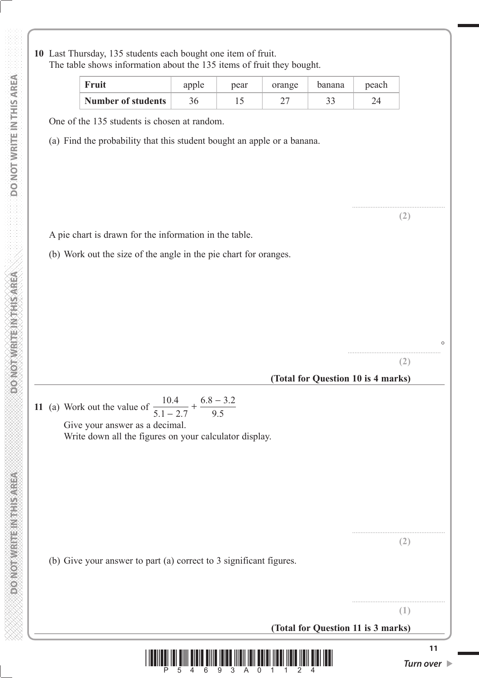**10** Last Thursday, 135 students each bought one item of fruit. The table shows information about the 135 items of fruit they bought.

| Fruit                     | apple | pear | orange | banana       | peach |
|---------------------------|-------|------|--------|--------------|-------|
| <b>Number of students</b> |       |      |        | າ າ<br>ر_ ر_ |       |

One of the 135 students is chosen at random.

(a) Find the probability that this student bought an apple or a banana.

A pie chart is drawn for the information in the table.

(b) Work out the size of the angle in the pie chart for oranges.

.......................................................

**(2)**

....................................................... **(2)**

....................................................... **(1)**

 $\sim$ 

....................................................... **(2)**

## **(Total for Question 10 is 4 marks)**

**11** (a) Work out the value of 10 4  $5.1 - 2.7$  $6.8 - 3.2$ 9.5 .  $.1 - 2.$  $\frac{0.4}{-2.7} + \frac{6.8 - 3.4}{9.5}$ Give your answer as a decimal.

Write down all the figures on your calculator display.

(b) Give your answer to part (a) correct to 3 significant figures.

**(Total for Question 11 is 3 marks)**



**RESIDENT REPORT OF STRAIGHT**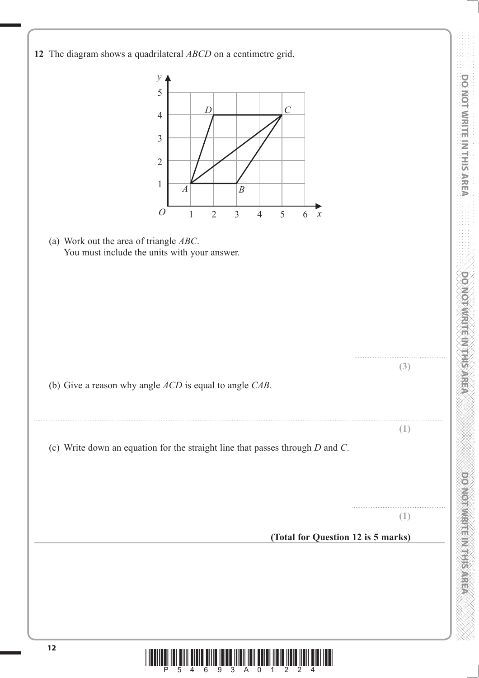

**DO NOT WRITE IN THIS AREA DO NOT WRITE IN THIS AREA DO NOT WRITE IN THIS AREA DO NOT WRITE IN THIS AREA DO NOT WRITE IN THIS AREA DO NOT WRITE IN THIS AREA DO NOT WRITE IN THIS AREA DO NOT WRITE IN THIS AREA DO NOT WRITE** 

**DOOMORATION CONTROL** 

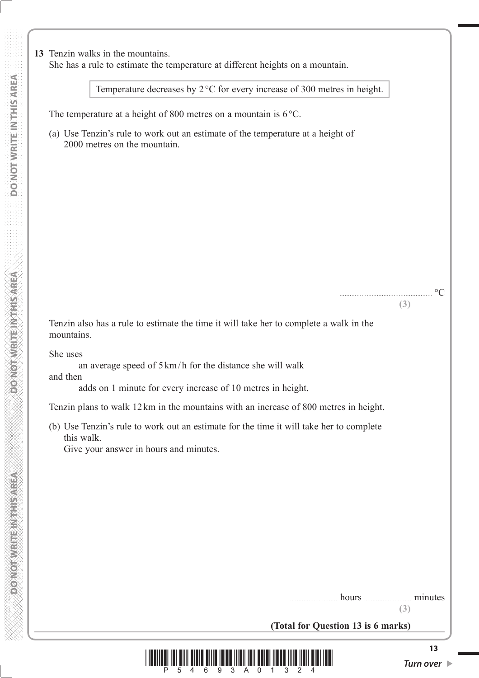Temperature decreases by  $2^{\circ}C$  for every increase of 300 metres in height.

The temperature at a height of 800 metres on a mountain is  $6^{\circ}$ C.

 (a) Use Tenzin's rule to work out an estimate of the temperature at a height of 2000 metres on the mountain.

 Tenzin also has a rule to estimate the time it will take her to complete a walk in the mountains.

She uses

an average speed of  $5 \text{ km/h}$  for the distance she will walk

and then

adds on 1 minute for every increase of 10 metres in height.

Tenzin plans to walk 12 km in the mountains with an increase of 800 metres in height.

 (b) Use Tenzin's rule to work out an estimate for the time it will take her to complete this walk.

Give your answer in hours and minutes.

**(3)**

....................................................... qC **(3)**

**(Total for Question 13 is 6 marks)**



**RESIDENT REPORT OF STRAIGHT**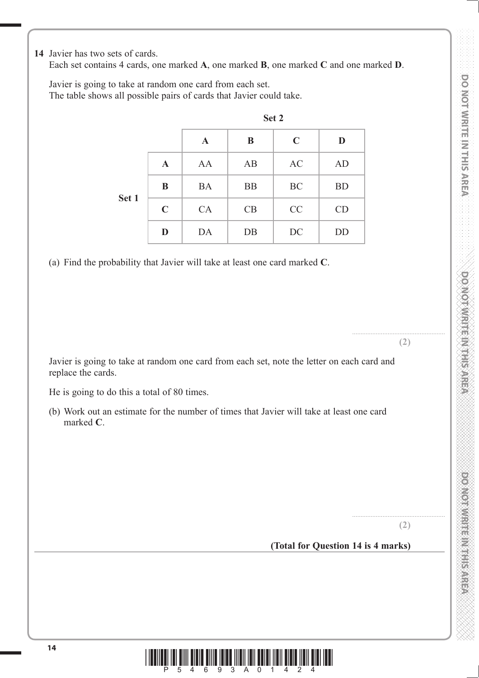**DO NOT WRITE IN THIS AREA DO NOT WRITE IN THIS AREA DO NOT WRITE IN THIS AREA DO NOT WRITE IN THIS AREA DO NOT WRITE IN THIS AREA DO NOT WRITE IN THIS AREA DO NOT WRITE IN THIS AREA DO NOT WRITE IN THIS AREA DO NOT WRITE DO NOT WRITE IN THIS AREA** 

**DOMOROUS HEADS IN STREET** 

**14** Javier has two sets of cards.

Each set contains 4 cards, one marked **A**, one marked **B**, one marked **C** and one marked **D**.

 Javier is going to take at random one card from each set. The table shows all possible pairs of cards that Javier could take.

|       |             |             | Set 2     |             |           |
|-------|-------------|-------------|-----------|-------------|-----------|
|       |             | $\mathbf A$ | B         | $\mathbf C$ | D         |
|       | $\mathbf A$ | AA          | AB        | AC          | AD        |
| Set 1 | B           | <b>BA</b>   | <b>BB</b> | BC          | <b>BD</b> |
|       | $\mathbf C$ | CA          | CB        | CC          | CD        |
|       | D           | DA          | DB        | DC          | DD        |

(a) Find the probability that Javier will take at least one card marked **C**.

 Javier is going to take at random one card from each set, note the letter on each card and replace the cards.

He is going to do this a total of 80 times.

 (b) Work out an estimate for the number of times that Javier will take at least one card marked **C**.

**(2)**

.......................................................

....................................................... **(2)**

**(Total for Question 14 is 4 marks)**

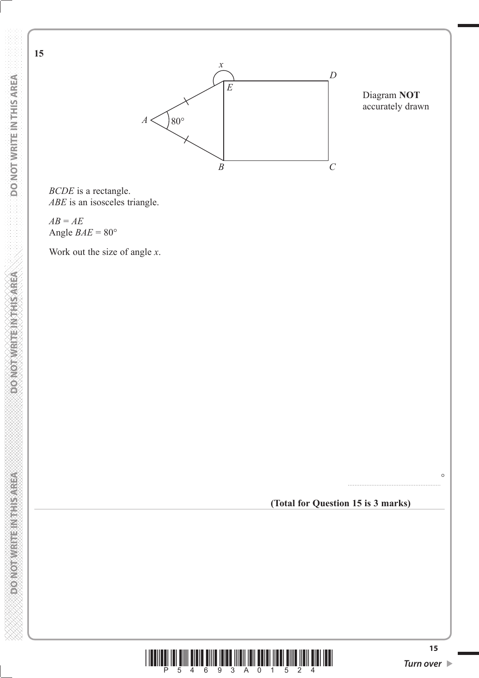

**15**



Diagram **NOT** accurately drawn

*BCDE* is a rectangle. *ABE* is an isosceles triangle.

*AB* = *AE* Angle  $BAE = 80^\circ$ 

Work out the size of angle *x*.

**(Total for Question 15 is 3 marks)**

.......................................................



 $\circ$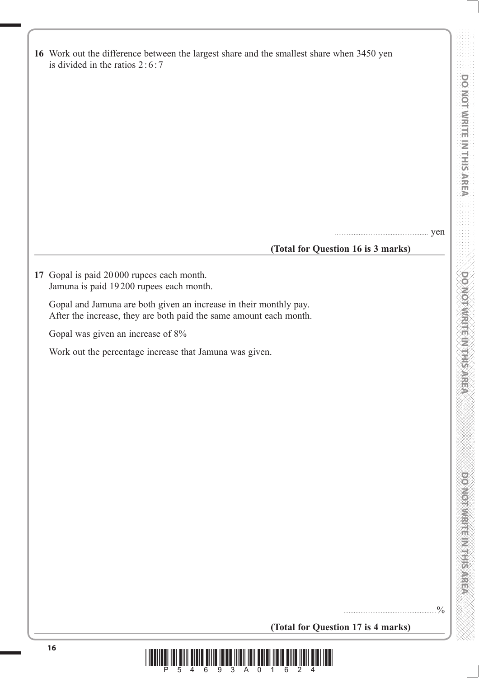|  |               |  |             | <b>DO NOT WRITE IN THIS AREA WRITE IN THIS AREA WRITE IN THIS AREA (N)</b> |  |  |
|--|---------------|--|-------------|----------------------------------------------------------------------------|--|--|
|  |               |  |             |                                                                            |  |  |
|  |               |  |             |                                                                            |  |  |
|  |               |  |             |                                                                            |  |  |
|  |               |  |             |                                                                            |  |  |
|  |               |  |             |                                                                            |  |  |
|  |               |  |             |                                                                            |  |  |
|  |               |  |             |                                                                            |  |  |
|  |               |  |             |                                                                            |  |  |
|  |               |  |             |                                                                            |  |  |
|  |               |  |             |                                                                            |  |  |
|  |               |  |             |                                                                            |  |  |
|  |               |  |             |                                                                            |  |  |
|  |               |  |             |                                                                            |  |  |
|  |               |  |             |                                                                            |  |  |
|  |               |  |             |                                                                            |  |  |
|  |               |  |             |                                                                            |  |  |
|  |               |  |             |                                                                            |  |  |
|  | Õ             |  |             |                                                                            |  |  |
|  |               |  |             |                                                                            |  |  |
|  | Q             |  |             |                                                                            |  |  |
|  |               |  |             |                                                                            |  |  |
|  |               |  |             |                                                                            |  |  |
|  |               |  |             |                                                                            |  |  |
|  | E<br>O        |  | ₩           |                                                                            |  |  |
|  |               |  |             |                                                                            |  |  |
|  |               |  |             |                                                                            |  |  |
|  |               |  | E.          |                                                                            |  |  |
|  |               |  |             |                                                                            |  |  |
|  |               |  | ÷,<br>₩     |                                                                            |  |  |
|  |               |  |             |                                                                            |  |  |
|  | ŔĤ            |  |             |                                                                            |  |  |
|  |               |  |             |                                                                            |  |  |
|  | ê             |  |             |                                                                            |  |  |
|  |               |  |             |                                                                            |  |  |
|  | €             |  |             |                                                                            |  |  |
|  |               |  |             |                                                                            |  |  |
|  |               |  | XI<br>Is    |                                                                            |  |  |
|  | $\frac{4}{3}$ |  |             |                                                                            |  |  |
|  |               |  |             |                                                                            |  |  |
|  |               |  |             |                                                                            |  |  |
|  | ě             |  |             |                                                                            |  |  |
|  |               |  |             |                                                                            |  |  |
|  |               |  | i<br>V<br>Ď |                                                                            |  |  |

| 16 Work out the difference between the largest share and the smallest share when 3450 yen<br>is divided in the ratios $2:6:7$           |            |
|-----------------------------------------------------------------------------------------------------------------------------------------|------------|
|                                                                                                                                         |            |
|                                                                                                                                         |            |
|                                                                                                                                         |            |
|                                                                                                                                         |            |
|                                                                                                                                         |            |
|                                                                                                                                         |            |
|                                                                                                                                         |            |
|                                                                                                                                         |            |
|                                                                                                                                         | yen        |
| (Total for Question 16 is 3 marks)                                                                                                      |            |
| 17 Gopal is paid 20000 rupees each month.<br>Jamuna is paid 19200 rupees each month.                                                    |            |
| Gopal and Jamuna are both given an increase in their monthly pay.<br>After the increase, they are both paid the same amount each month. |            |
| Gopal was given an increase of 8%                                                                                                       |            |
| Work out the percentage increase that Jamuna was given.                                                                                 |            |
|                                                                                                                                         |            |
|                                                                                                                                         |            |
|                                                                                                                                         |            |
|                                                                                                                                         |            |
|                                                                                                                                         |            |
|                                                                                                                                         |            |
|                                                                                                                                         |            |
|                                                                                                                                         |            |
|                                                                                                                                         |            |
|                                                                                                                                         |            |
|                                                                                                                                         |            |
|                                                                                                                                         |            |
|                                                                                                                                         |            |
|                                                                                                                                         | $^{0}_{0}$ |
| (Total for Question 17 is 4 marks)                                                                                                      |            |

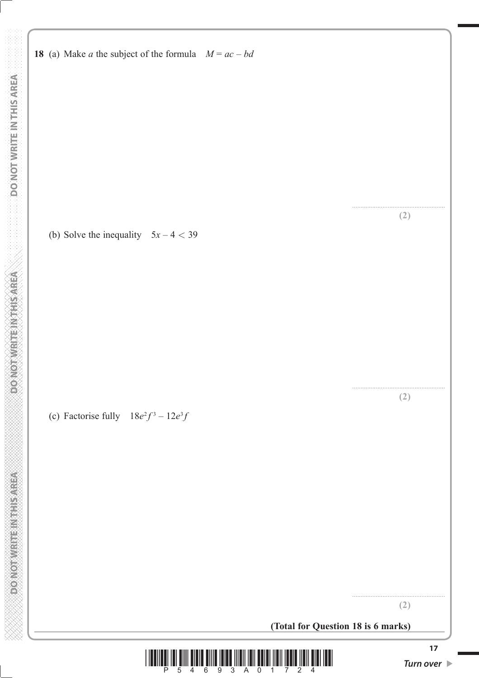**DOMOTIVRITE NITHSAREA** 

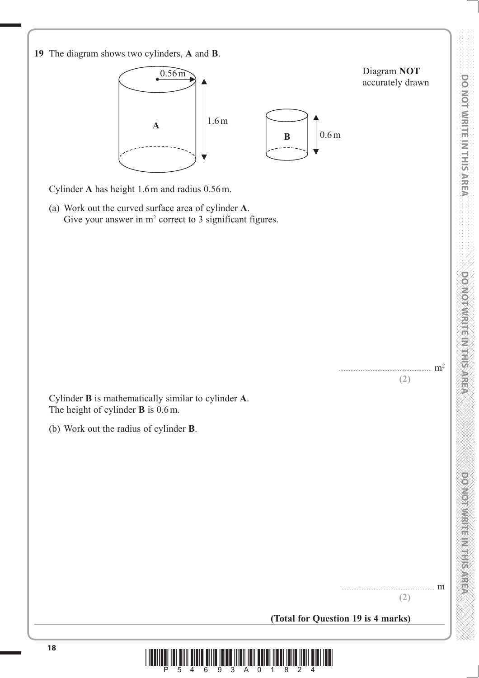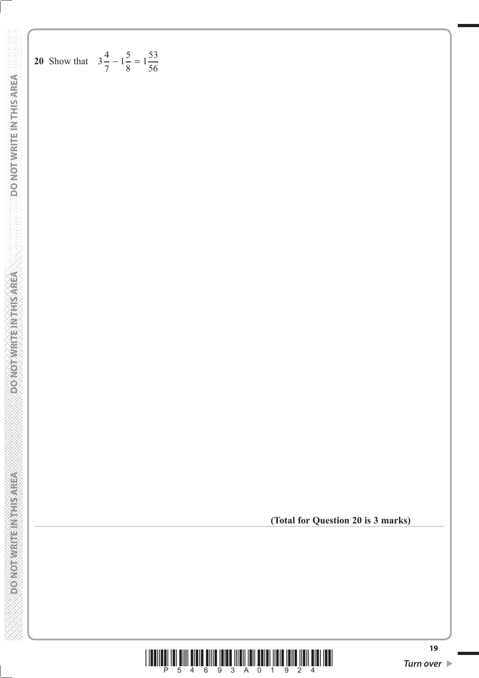20 Show that 
$$
3\frac{4}{7} - 1\frac{5}{8} = 1\frac{53}{56}
$$

**(Total for Question 20 is 3 marks)**

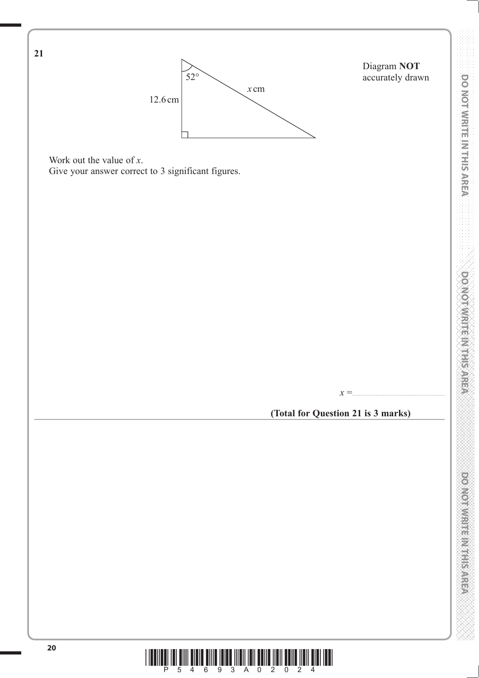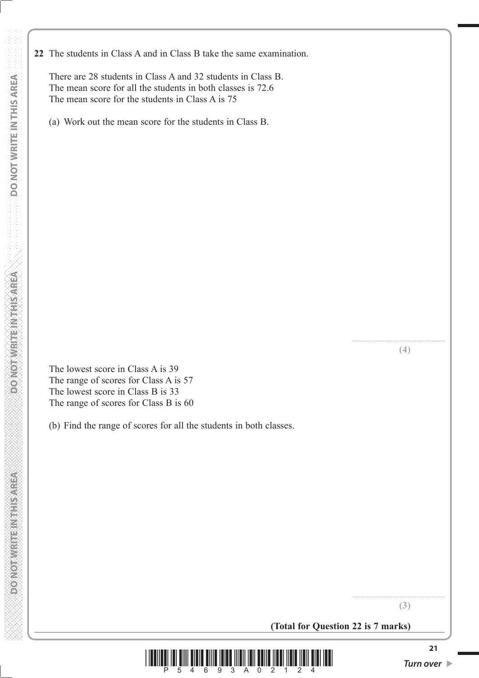There are 28 students in Class A and 32 students in Class B. The mean score for all the students in both classes is 72.6 The mean score for the students in Class A is 75

(a) Work out the mean score for the students in Class B.

....................................................... **(4)**

 The lowest score in Class A is 39 The range of scores for Class A is 57 The lowest score in Class B is 33 The range of scores for Class B is 60

(b) Find the range of scores for all the students in both classes.

**(3)**

.......................................................

**(Total for Question 22 is 7 marks)**

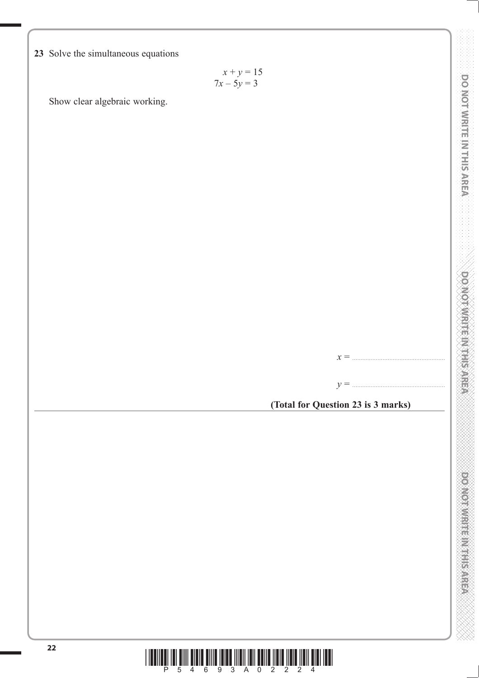**23** Solve the simultaneous equations

$$
x + y = 15
$$
  

$$
7x - 5y = 3
$$

Show clear algebraic working.

*x* = .......................................................

*y* = .......................................................

**(Total for Question 23 is 3 marks)**



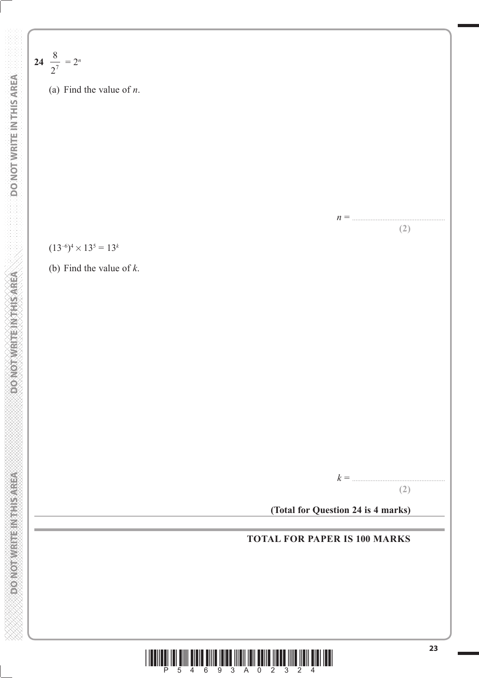(a) Find the value of *n*.  
\n(a) Find the value of *n*.  
\n(b) Find the value of *k*.  
\n(c) 
$$
(13^{-6})^4 \times 13^5 = 13^k
$$
  
\n(d) Find the value of *k*.

**24**

8  $\frac{6}{2^7}$  = 2<sup>n</sup>

*n* = .......................................................

*k* = .......................................................

**(Total for Question 24 is 4 marks)**

**TOTAL FOR PAPER IS 100 MARKS**

**(2)**

**(2)**